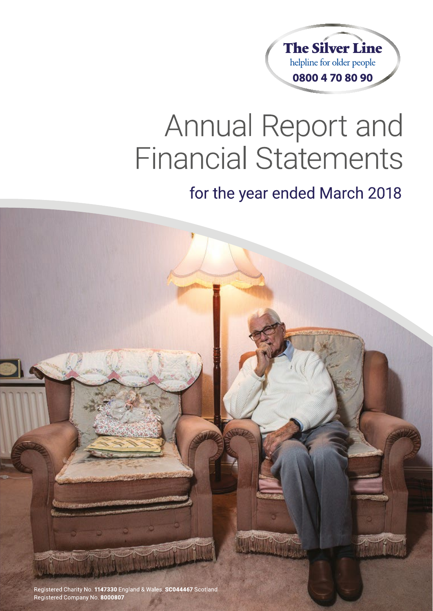

# **Annual Report and Financial Statements**

## for the year ended March 2018

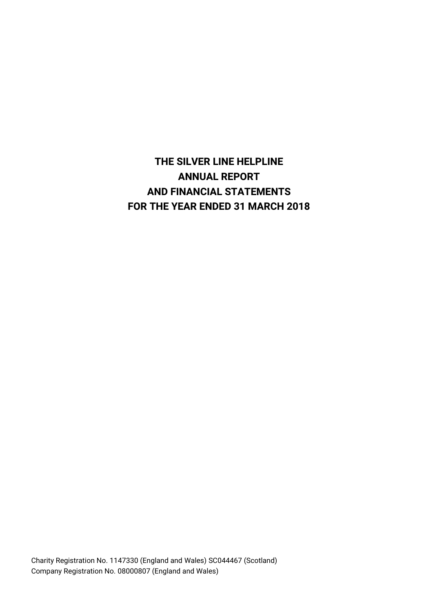### **THE SILVER LINE HELPLINE ANNUAL REPORT AND FINANCIAL STATEMENTS FOR THE YEAR ENDED 31 MARCH 2018**

Charity Registration No. 1147330 (England and Wales) SC044467 (Scotland) Company Registration No. 08000807 (England and Wales)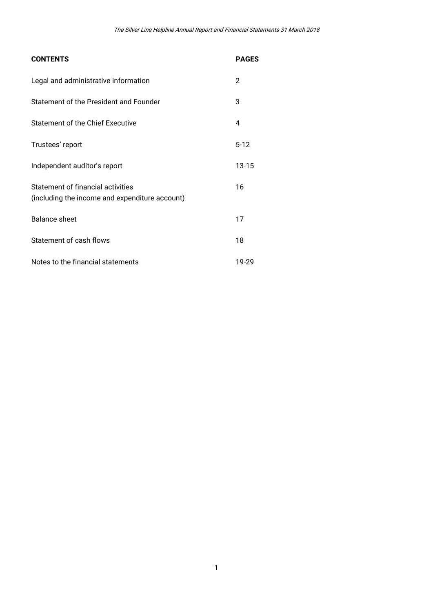| <b>CONTENTS</b>                                                                     | <b>PAGES</b>   |
|-------------------------------------------------------------------------------------|----------------|
| Legal and administrative information                                                | $\overline{2}$ |
| Statement of the President and Founder                                              | 3              |
| Statement of the Chief Executive                                                    | 4              |
| Trustees' report                                                                    | $5 - 12$       |
| Independent auditor's report                                                        | $13 - 15$      |
| Statement of financial activities<br>(including the income and expenditure account) | 16             |
| Balance sheet                                                                       | 17             |
| Statement of cash flows                                                             | 18             |
| Notes to the financial statements                                                   | 19-29          |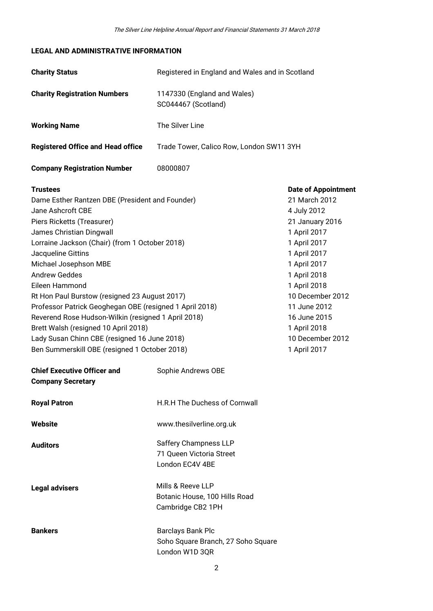#### **LEGAL AND ADMINISTRATIVE INFORMATION**

| <b>Charity Status</b>                                                                                                                                                                                                                                                                                                                                                                                                                                                                                                                                                                                    | Registered in England and Wales and in Scotland                                  |                                                                                                                                                                                                                                                                                       |  |
|----------------------------------------------------------------------------------------------------------------------------------------------------------------------------------------------------------------------------------------------------------------------------------------------------------------------------------------------------------------------------------------------------------------------------------------------------------------------------------------------------------------------------------------------------------------------------------------------------------|----------------------------------------------------------------------------------|---------------------------------------------------------------------------------------------------------------------------------------------------------------------------------------------------------------------------------------------------------------------------------------|--|
| <b>Charity Registration Numbers</b>                                                                                                                                                                                                                                                                                                                                                                                                                                                                                                                                                                      | 1147330 (England and Wales)<br>SC044467 (Scotland)                               |                                                                                                                                                                                                                                                                                       |  |
| <b>Working Name</b>                                                                                                                                                                                                                                                                                                                                                                                                                                                                                                                                                                                      | The Silver Line                                                                  |                                                                                                                                                                                                                                                                                       |  |
| <b>Registered Office and Head office</b>                                                                                                                                                                                                                                                                                                                                                                                                                                                                                                                                                                 | Trade Tower, Calico Row, London SW11 3YH                                         |                                                                                                                                                                                                                                                                                       |  |
| <b>Company Registration Number</b>                                                                                                                                                                                                                                                                                                                                                                                                                                                                                                                                                                       | 08000807                                                                         |                                                                                                                                                                                                                                                                                       |  |
| <b>Trustees</b><br>Dame Esther Rantzen DBE (President and Founder)<br>Jane Ashcroft CBE<br>Piers Ricketts (Treasurer)<br>James Christian Dingwall<br>Lorraine Jackson (Chair) (from 1 October 2018)<br>Jacqueline Gittins<br>Michael Josephson MBE<br><b>Andrew Geddes</b><br>Eileen Hammond<br>Rt Hon Paul Burstow (resigned 23 August 2017)<br>Professor Patrick Geoghegan OBE (resigned 1 April 2018)<br>Reverend Rose Hudson-Wilkin (resigned 1 April 2018)<br>Brett Walsh (resigned 10 April 2018)<br>Lady Susan Chinn CBE (resigned 16 June 2018)<br>Ben Summerskill OBE (resigned 1 October 2018) |                                                                                  | <b>Date of Appointment</b><br>21 March 2012<br>4 July 2012<br>21 January 2016<br>1 April 2017<br>1 April 2017<br>1 April 2017<br>1 April 2017<br>1 April 2018<br>1 April 2018<br>10 December 2012<br>11 June 2012<br>16 June 2015<br>1 April 2018<br>10 December 2012<br>1 April 2017 |  |
| <b>Chief Executive Officer and</b><br><b>Company Secretary</b>                                                                                                                                                                                                                                                                                                                                                                                                                                                                                                                                           | Sophie Andrews OBE                                                               |                                                                                                                                                                                                                                                                                       |  |
| <b>Royal Patron</b>                                                                                                                                                                                                                                                                                                                                                                                                                                                                                                                                                                                      | H.R.H The Duchess of Cornwall                                                    |                                                                                                                                                                                                                                                                                       |  |
| Website                                                                                                                                                                                                                                                                                                                                                                                                                                                                                                                                                                                                  | www.thesilverline.org.uk                                                         |                                                                                                                                                                                                                                                                                       |  |
| <b>Auditors</b>                                                                                                                                                                                                                                                                                                                                                                                                                                                                                                                                                                                          | Saffery Champness LLP<br>71 Queen Victoria Street<br>London EC4V 4BE             |                                                                                                                                                                                                                                                                                       |  |
| <b>Legal advisers</b>                                                                                                                                                                                                                                                                                                                                                                                                                                                                                                                                                                                    | Mills & Reeve LLP<br>Botanic House, 100 Hills Road<br>Cambridge CB2 1PH          |                                                                                                                                                                                                                                                                                       |  |
| <b>Bankers</b>                                                                                                                                                                                                                                                                                                                                                                                                                                                                                                                                                                                           | <b>Barclays Bank Plc</b><br>Soho Square Branch, 27 Soho Square<br>London W1D 3QR |                                                                                                                                                                                                                                                                                       |  |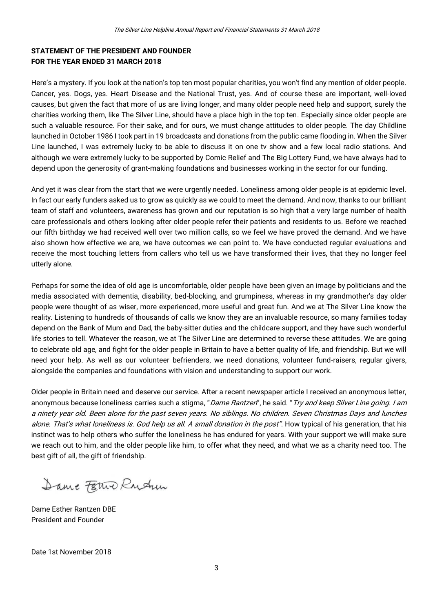#### **STATEMENT OF THE PRESIDENT AND FOUNDER FOR THE YEAR ENDED 31 MARCH 2018**

Here's a mystery. If you look at the nation's top ten most popular charities, you won't find any mention of older people. Cancer, yes. Dogs, yes. Heart Disease and the National Trust, yes. And of course these are important, well-loved causes, but given the fact that more of us are living longer, and many older people need help and support, surely the charities working them, like The Silver Line, should have a place high in the top ten. Especially since older people are such a valuable resource. For their sake, and for ours, we must change attitudes to older people. The day Childline launched in October 1986 I took part in 19 broadcasts and donations from the public came flooding in. When the Silver Line launched, I was extremely lucky to be able to discuss it on one tv show and a few local radio stations. And although we were extremely lucky to be supported by Comic Relief and The Big Lottery Fund, we have always had to depend upon the generosity of grant-making foundations and businesses working in the sector for our funding.

And yet it was clear from the start that we were urgently needed. Loneliness among older people is at epidemic level. In fact our early funders asked us to grow as quickly as we could to meet the demand. And now, thanks to our brilliant team of staff and volunteers, awareness has grown and our reputation is so high that a very large number of health care professionals and others looking after older people refer their patients and residents to us. Before we reached our fifth birthday we had received well over two million calls, so we feel we have proved the demand. And we have also shown how effective we are, we have outcomes we can point to. We have conducted regular evaluations and receive the most touching letters from callers who tell us we have transformed their lives, that they no longer feel utterly alone.

Perhaps for some the idea of old age is uncomfortable, older people have been given an image by politicians and the media associated with dementia, disability, bed-blocking, and grumpiness, whereas in my grandmother's day older people were thought of as wiser, more experienced, more useful and great fun. And we at The Silver Line know the reality. Listening to hundreds of thousands of calls we know they are an invaluable resource, so many families today depend on the Bank of Mum and Dad, the baby-sitter duties and the childcare support, and they have such wonderful life stories to tell. Whatever the reason, we at The Silver Line are determined to reverse these attitudes. We are going to celebrate old age, and fight for the older people in Britain to have a better quality of life, and friendship. But we will need your help. As well as our volunteer befrienders, we need donations, volunteer fund-raisers, regular givers, alongside the companies and foundations with vision and understanding to support our work.

Older people in Britain need and deserve our service. After a recent newspaper article I received an anonymous letter, anonymous because loneliness carries such a stigma, "Dame Rantzen", he said. "Try and keep Silver Line going. I am a ninety year old. Been alone for the past seven years. No siblings. No children. Seven Christmas Days and lunches alone. That's what loneliness is. God help us all. A small donation in the post". How typical of his generation, that his instinct was to help others who suffer the loneliness he has endured for years. With your support we will make sure we reach out to him, and the older people like him, to offer what they need, and what we as a charity need too. The best gift of all, the gift of friendship.

Dame Ferno Rudun

Dame Esther Rantzen DBE President and Founder

Date 1st November 2018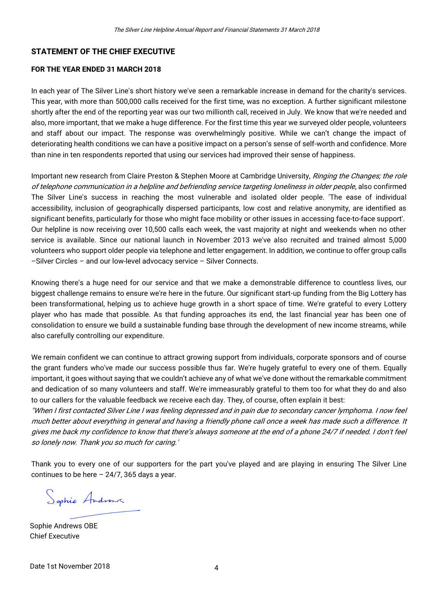#### **STATEMENT OF THE CHIEF EXECUTIVE**

#### **FOR THE YEAR ENDED 31 MARCH 2018**

In each year of The Silver Line's short history we've seen a remarkable increase in demand for the charity's services. This year, with more than 500,000 calls received for the first time, was no exception. A further significant milestone shortly after the end of the reporting year was our two millionth call, received in July. We know that we're needed and also, more important, that we make a huge difference. For the first time this year we surveyed older people, volunteers and staff about our impact. The response was overwhelmingly positive. While we can't change the impact of deteriorating health conditions we can have a positive impact on a person's sense of self-worth and confidence. More than nine in ten respondents reported that using our services had improved their sense of happiness.

Important new research from Claire Preston & Stephen Moore at Cambridge University, Ringing the Changes; the role of telephone communication in a helpline and befriending service targeting loneliness in older people, also confirmed The Silver Line's success in reaching the most vulnerable and isolated older people. 'The ease of individual accessibility, inclusion of geographically dispersed participants, low cost and relative anonymity, are identified as significant benefits, particularly for those who might face mobility or other issues in accessing face-to-face support'. Our helpline is now receiving over 10,500 calls each week, the vast majority at night and weekends when no other service is available. Since our national launch in November 2013 we've also recruited and trained almost 5,000 volunteers who support older people via telephone and letter engagement. In addition, we continue to offer group calls –Silver Circles – and our low-level advocacy service – Silver Connects.

Knowing there's a huge need for our service and that we make a demonstrable difference to countless lives, our biggest challenge remains to ensure we're here in the future. Our significant start-up funding from the Big Lottery has been transformational, helping us to achieve huge growth in a short space of time. We're grateful to every Lottery player who has made that possible. As that funding approaches its end, the last financial year has been one of consolidation to ensure we build a sustainable funding base through the development of new income streams, while also carefully controlling our expenditure.

We remain confident we can continue to attract growing support from individuals, corporate sponsors and of course the grant funders who've made our success possible thus far. We're hugely grateful to every one of them. Equally important, it goes without saying that we couldn't achieve any of what we've done without the remarkable commitment and dedication of so many volunteers and staff. We're immeasurably grateful to them too for what they do and also to our callers for the valuable feedback we receive each day. They, of course, often explain it best:

''When I first contacted Silver Line I was feeling depressed and in pain due to secondary cancer lymphoma. I now feel much better about everything in general and having a friendly phone call once a week has made such a difference. It gives me back my confidence to know that there's always someone at the end of a phone 24/7 if needed. I don't feel so lonely now. Thank you so much for caring.'

Thank you to every one of our supporters for the part you've played and are playing in ensuring The Silver Line continues to be here  $-24/7$ , 365 days a year.

Sophie Androns

Sophie Andrews OBE Chief Executive

Date 1st November 2018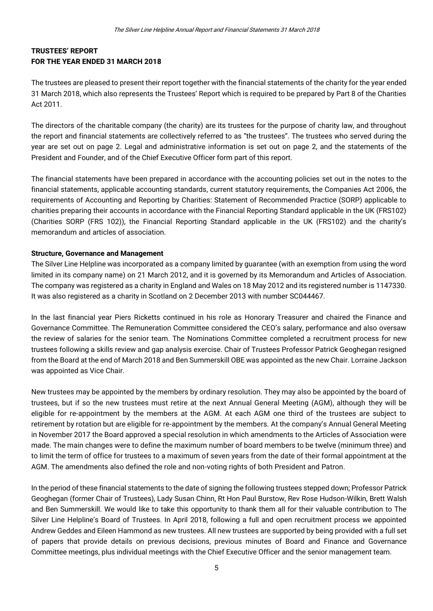#### **TRUSTEES' REPORT FOR THE YEAR ENDED 31 MARCH 2018**

The trustees are pleased to present their report together with the financial statements of the charity for the year ended 31 March 2018, which also represents the Trustees' Report which is required to be prepared by Part 8 of the Charities Act 2011.

The directors of the charitable company (the charity) are its trustees for the purpose of charity law, and throughout the report and financial statements are collectively referred to as "the trustees". The trustees who served during the year are set out on page 2. Legal and administrative information is set out on page 2, and the statements of the President and Founder, and of the Chief Executive Officer form part of this report.

The financial statements have been prepared in accordance with the accounting policies set out in the notes to the financial statements, applicable accounting standards, current statutory requirements, the Companies Act 2006, the requirements of Accounting and Reporting by Charities: Statement of Recommended Practice (SORP) applicable to charities preparing their accounts in accordance with the Financial Reporting Standard applicable in the UK (FRS102) (Charities SORP (FRS 102)), the Financial Reporting Standard applicable in the UK (FRS102) and the charity's memorandum and articles of association.

#### **Structure, Governance and Management**

The Silver Line Helpline was incorporated as a company limited by guarantee (with an exemption from using the word limited in its company name) on 21 March 2012, and it is governed by its Memorandum and Articles of Association. The company was registered as a charity in England and Wales on 18 May 2012 and its registered number is 1147330. It was also registered as a charity in Scotland on 2 December 2013 with number SC044467.

In the last financial year Piers Ricketts continued in his role as Honorary Treasurer and chaired the Finance and Governance Committee. The Remuneration Committee considered the CEO's salary, performance and also oversaw the review of salaries for the senior team. The Nominations Committee completed a recruitment process for new trustees following a skills review and gap analysis exercise. Chair of Trustees Professor Patrick Geoghegan resigned from the Board at the end of March 2018 and Ben Summerskill OBE was appointed as the new Chair. Lorraine Jackson was appointed as Vice Chair.

New trustees may be appointed by the members by ordinary resolution. They may also be appointed by the board of trustees, but if so the new trustees must retire at the next Annual General Meeting (AGM), although they will be eligible for re-appointment by the members at the AGM. At each AGM one third of the trustees are subject to retirement by rotation but are eligible for re-appointment by the members. At the company's Annual General Meeting in November 2017 the Board approved a special resolution in which amendments to the Articles of Association were made. The main changes were to define the maximum number of board members to be twelve (minimum three) and to limit the term of office for trustees to a maximum of seven years from the date of their formal appointment at the AGM. The amendments also defined the role and non-voting rights of both President and Patron.

In the period of these financial statements to the date of signing the following trustees stepped down; Professor Patrick Geoghegan (former Chair of Trustees), Lady Susan Chinn, Rt Hon Paul Burstow, Rev Rose Hudson-Wilkin, Brett Walsh and Ben Summerskill. We would like to take this opportunity to thank them all for their valuable contribution to The Silver Line Helpline's Board of Trustees. In April 2018, following a full and open recruitment process we appointed Andrew Geddes and Eileen Hammond as new trustees. All new trustees are supported by being provided with a full set of papers that provide details on previous decisions, previous minutes of Board and Finance and Governance Committee meetings, plus individual meetings with the Chief Executive Officer and the senior management team.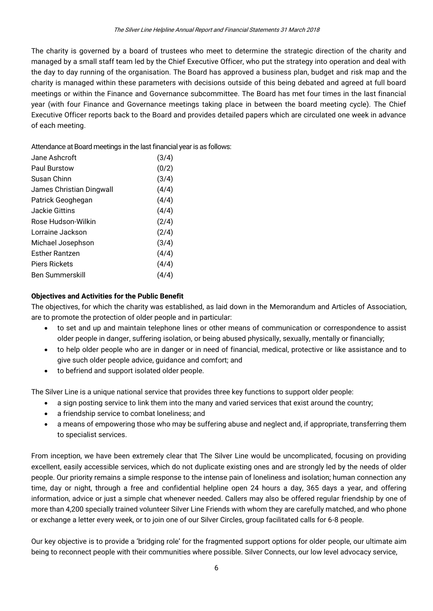The charity is governed by a board of trustees who meet to determine the strategic direction of the charity and managed by a small staff team led by the Chief Executive Officer, who put the strategy into operation and deal with the day to day running of the organisation. The Board has approved a business plan, budget and risk map and the charity is managed within these parameters with decisions outside of this being debated and agreed at full board meetings or within the Finance and Governance subcommittee. The Board has met four times in the last financial year (with four Finance and Governance meetings taking place in between the board meeting cycle). The Chief Executive Officer reports back to the Board and provides detailed papers which are circulated one week in advance of each meeting.

Attendance at Board meetings in the last financial year is as follows:

| Jane Ashcroft            | (3/4) |
|--------------------------|-------|
| Paul Burstow             | (0/2) |
| Susan Chinn              | (3/4) |
| James Christian Dingwall | (4/4) |
| Patrick Geoghegan        | (4/4) |
| Jackie Gittins           | (4/4) |
| Rose Hudson-Wilkin       | (2/4) |
| Lorraine Jackson         | (2/4) |
| Michael Josephson        | (3/4) |
| <b>Fsther Rantzen</b>    | (4/4) |
| <b>Piers Rickets</b>     | (4/4) |
| <b>Ben Summerskill</b>   | (4/4) |
|                          |       |

#### **Objectives and Activities for the Public Benefit**

The objectives, for which the charity was established, as laid down in the Memorandum and Articles of Association, are to promote the protection of older people and in particular:

- to set and up and maintain telephone lines or other means of communication or correspondence to assist older people in danger, suffering isolation, or being abused physically, sexually, mentally or financially;
- to help older people who are in danger or in need of financial, medical, protective or like assistance and to give such older people advice, guidance and comfort; and
- to befriend and support isolated older people.

The Silver Line is a unique national service that provides three key functions to support older people:

- a sign posting service to link them into the many and varied services that exist around the country;
- a friendship service to combat loneliness; and
- a means of empowering those who may be suffering abuse and neglect and, if appropriate, transferring them to specialist services.

From inception, we have been extremely clear that The Silver Line would be uncomplicated, focusing on providing excellent, easily accessible services, which do not duplicate existing ones and are strongly led by the needs of older people. Our priority remains a simple response to the intense pain of loneliness and isolation; human connection any time, day or night, through a free and confidential helpline open 24 hours a day, 365 days a year, and offering information, advice or just a simple chat whenever needed. Callers may also be offered regular friendship by one of more than 4,200 specially trained volunteer Silver Line Friends with whom they are carefully matched, and who phone or exchange a letter every week, or to join one of our Silver Circles, group facilitated calls for 6-8 people.

Our key objective is to provide a 'bridging role' for the fragmented support options for older people, our ultimate aim being to reconnect people with their communities where possible. Silver Connects, our low level advocacy service,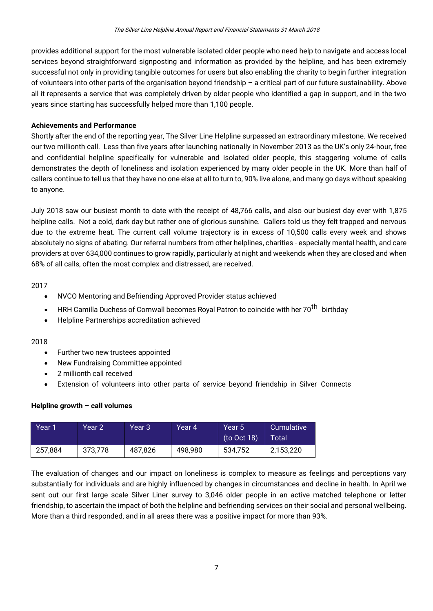provides additional support for the most vulnerable isolated older people who need help to navigate and access local services beyond straightforward signposting and information as provided by the helpline, and has been extremely successful not only in providing tangible outcomes for users but also enabling the charity to begin further integration of volunteers into other parts of the organisation beyond friendship – a critical part of our future sustainability. Above all it represents a service that was completely driven by older people who identified a gap in support, and in the two years since starting has successfully helped more than 1,100 people.

#### **Achievements and Performance**

Shortly after the end of the reporting year, The Silver Line Helpline surpassed an extraordinary milestone. We received our two millionth call. Less than five years after launching nationally in November 2013 as the UK's only 24-hour, free and confidential helpline specifically for vulnerable and isolated older people, this staggering volume of calls demonstrates the depth of loneliness and isolation experienced by many older people in the UK. More than half of callers continue to tell us that they have no one else at all to turn to, 90% live alone, and many go days without speaking to anyone.

July 2018 saw our busiest month to date with the receipt of 48,766 calls, and also our busiest day ever with 1,875 helpline calls. Not a cold, dark day but rather one of glorious sunshine. Callers told us they felt trapped and nervous due to the extreme heat. The current call volume trajectory is in excess of 10,500 calls every week and shows absolutely no signs of abating. Our referral numbers from other helplines, charities - especially mental health, and care providers at over 634,000 continues to grow rapidly, particularly at night and weekends when they are closed and when 68% of all calls, often the most complex and distressed, are received.

2017

- NVCO Mentoring and Befriending Approved Provider status achieved
- HRH Camilla Duchess of Cornwall becomes Royal Patron to coincide with her 70<sup>th</sup> birthdav
- Helpline Partnerships accreditation achieved

#### 2018

- Further two new trustees appointed
- New Fundraising Committee appointed
- 2 millionth call received
- Extension of volunteers into other parts of service beyond friendship in Silver Connects

#### **Helpline growth – call volumes**

| Year 1  | Year 2' | Year 3  | Year 4' | Year 5<br>(to Oct 18) | Cumulative<br>Total |
|---------|---------|---------|---------|-----------------------|---------------------|
| 257,884 | 373,778 | 487,826 | 498,980 | 534,752               | 2,153,220           |

The evaluation of changes and our impact on loneliness is complex to measure as feelings and perceptions vary substantially for individuals and are highly influenced by changes in circumstances and decline in health. In April we sent out our first large scale Silver Liner survey to 3,046 older people in an active matched telephone or letter friendship, to ascertain the impact of both the helpline and befriending services on their social and personal wellbeing. More than a third responded, and in all areas there was a positive impact for more than 93%.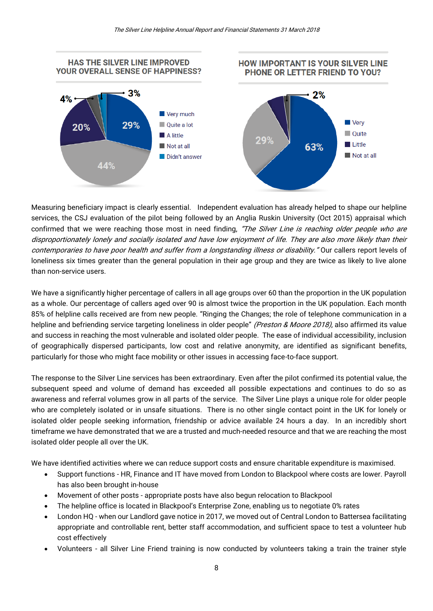

Measuring beneficiary impact is clearly essential. Independent evaluation has already helped to shape our helpline services, the CSJ evaluation of the pilot being followed by an Anglia Ruskin University (Oct 2015) appraisal which confirmed that we were reaching those most in need finding, "The Silver Line is reaching older people who are disproportionately lonely and socially isolated and have low enjoyment of life. They are also more likely than their contemporaries to have poor health and suffer from a longstanding illness or disability." Our callers report levels of loneliness six times greater than the general population in their age group and they are twice as likely to live alone than non-service users.

We have a significantly higher percentage of callers in all age groups over 60 than the proportion in the UK population as a whole. Our percentage of callers aged over 90 is almost twice the proportion in the UK population. Each month 85% of helpline calls received are from new people. "Ringing the Changes; the role of telephone communication in a helpline and befriending service targeting loneliness in older people" (Preston & Moore 2018), also affirmed its value and success in reaching the most vulnerable and isolated older people. The ease of individual accessibility, inclusion of geographically dispersed participants, low cost and relative anonymity, are identified as significant benefits, particularly for those who might face mobility or other issues in accessing face-to-face support.

The response to the Silver Line services has been extraordinary. Even after the pilot confirmed its potential value, the subsequent speed and volume of demand has exceeded all possible expectations and continues to do so as awareness and referral volumes grow in all parts of the service. The Silver Line plays a unique role for older people who are completely isolated or in unsafe situations. There is no other single contact point in the UK for lonely or isolated older people seeking information, friendship or advice available 24 hours a day. In an incredibly short timeframe we have demonstrated that we are a trusted and much-needed resource and that we are reaching the most isolated older people all over the UK.

We have identified activities where we can reduce support costs and ensure charitable expenditure is maximised.

- Support functions HR, Finance and IT have moved from London to Blackpool where costs are lower. Payroll has also been brought in-house
- Movement of other posts appropriate posts have also begun relocation to Blackpool
- The helpline office is located in Blackpool's Enterprise Zone, enabling us to negotiate 0% rates
- London HQ when our Landlord gave notice in 2017, we moved out of Central London to Battersea facilitating appropriate and controllable rent, better staff accommodation, and sufficient space to test a volunteer hub cost effectively
- Volunteers all Silver Line Friend training is now conducted by volunteers taking a train the trainer style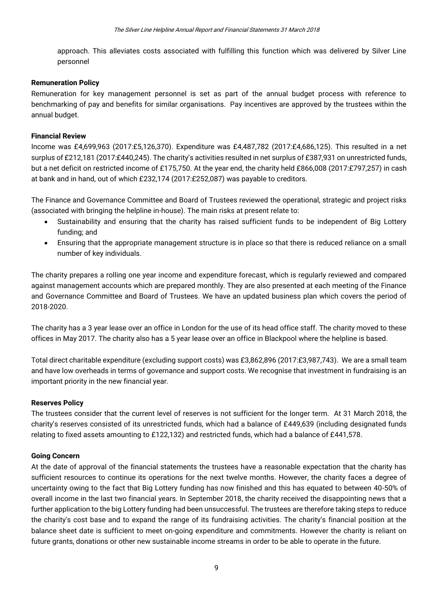approach. This alleviates costs associated with fulfilling this function which was delivered by Silver Line personnel

#### **Remuneration Policy**

Remuneration for key management personnel is set as part of the annual budget process with reference to benchmarking of pay and benefits for similar organisations. Pay incentives are approved by the trustees within the annual budget.

#### **Financial Review**

Income was £4,699,963 (2017:£5,126,370). Expenditure was £4,487,782 (2017:£4,686,125). This resulted in a net surplus of £212,181 (2017:£440,245). The charity's activities resulted in net surplus of £387,931 on unrestricted funds, but a net deficit on restricted income of £175,750. At the year end, the charity held £866,008 (2017:£797,257) in cash at bank and in hand, out of which £232,174 (2017:£252,087) was payable to creditors.

The Finance and Governance Committee and Board of Trustees reviewed the operational, strategic and project risks (associated with bringing the helpline in-house). The main risks at present relate to:

- Sustainability and ensuring that the charity has raised sufficient funds to be independent of Big Lottery funding; and
- Ensuring that the appropriate management structure is in place so that there is reduced reliance on a small number of key individuals.

The charity prepares a rolling one year income and expenditure forecast, which is regularly reviewed and compared against management accounts which are prepared monthly. They are also presented at each meeting of the Finance and Governance Committee and Board of Trustees. We have an updated business plan which covers the period of 2018-2020.

The charity has a 3 year lease over an office in London for the use of its head office staff. The charity moved to these offices in May 2017. The charity also has a 5 year lease over an office in Blackpool where the helpline is based.

Total direct charitable expenditure (excluding support costs) was £3,862,896 (2017:£3,987,743). We are a small team and have low overheads in terms of governance and support costs. We recognise that investment in fundraising is an important priority in the new financial year.

#### **Reserves Policy**

The trustees consider that the current level of reserves is not sufficient for the longer term. At 31 March 2018, the charity's reserves consisted of its unrestricted funds, which had a balance of £449,639 (including designated funds relating to fixed assets amounting to £122,132) and restricted funds, which had a balance of £441,578.

#### **Going Concern**

At the date of approval of the financial statements the trustees have a reasonable expectation that the charity has sufficient resources to continue its operations for the next twelve months. However, the charity faces a degree of uncertainty owing to the fact that Big Lottery funding has now finished and this has equated to between 40-50% of overall income in the last two financial years. In September 2018, the charity received the disappointing news that a further application to the big Lottery funding had been unsuccessful. The trustees are therefore taking steps to reduce the charity's cost base and to expand the range of its fundraising activities. The charity's financial position at the balance sheet date is sufficient to meet on-going expenditure and commitments. However the charity is reliant on future grants, donations or other new sustainable income streams in order to be able to operate in the future.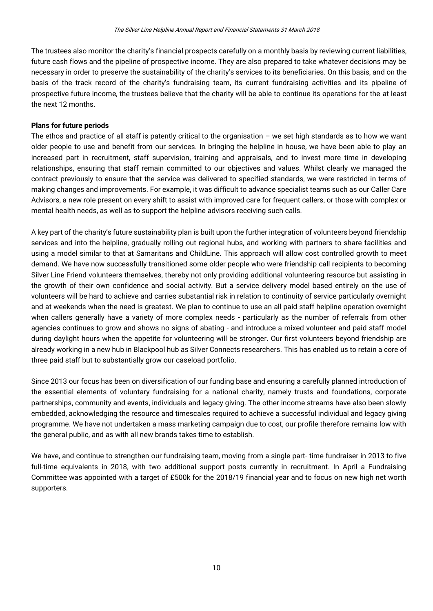The trustees also monitor the charity's financial prospects carefully on a monthly basis by reviewing current liabilities, future cash flows and the pipeline of prospective income. They are also prepared to take whatever decisions may be necessary in order to preserve the sustainability of the charity's services to its beneficiaries. On this basis, and on the basis of the track record of the charity's fundraising team, its current fundraising activities and its pipeline of prospective future income, the trustees believe that the charity will be able to continue its operations for the at least the next 12 months.

#### **Plans for future periods**

The ethos and practice of all staff is patently critical to the organisation  $-$  we set high standards as to how we want older people to use and benefit from our services. In bringing the helpline in house, we have been able to play an increased part in recruitment, staff supervision, training and appraisals, and to invest more time in developing relationships, ensuring that staff remain committed to our objectives and values. Whilst clearly we managed the contract previously to ensure that the service was delivered to specified standards, we were restricted in terms of making changes and improvements. For example, it was difficult to advance specialist teams such as our Caller Care Advisors, a new role present on every shift to assist with improved care for frequent callers, or those with complex or mental health needs, as well as to support the helpline advisors receiving such calls.

A key part of the charity's future sustainability plan is built upon the further integration of volunteers beyond friendship services and into the helpline, gradually rolling out regional hubs, and working with partners to share facilities and using a model similar to that at Samaritans and ChildLine. This approach will allow cost controlled growth to meet demand. We have now successfully transitioned some older people who were friendship call recipients to becoming Silver Line Friend volunteers themselves, thereby not only providing additional volunteering resource but assisting in the growth of their own confidence and social activity. But a service delivery model based entirely on the use of volunteers will be hard to achieve and carries substantial risk in relation to continuity of service particularly overnight and at weekends when the need is greatest. We plan to continue to use an all paid staff helpline operation overnight when callers generally have a variety of more complex needs - particularly as the number of referrals from other agencies continues to grow and shows no signs of abating - and introduce a mixed volunteer and paid staff model during daylight hours when the appetite for volunteering will be stronger. Our first volunteers beyond friendship are already working in a new hub in Blackpool hub as Silver Connects researchers. This has enabled us to retain a core of three paid staff but to substantially grow our caseload portfolio.

Since 2013 our focus has been on diversification of our funding base and ensuring a carefully planned introduction of the essential elements of voluntary fundraising for a national charity, namely trusts and foundations, corporate partnerships, community and events, individuals and legacy giving. The other income streams have also been slowly embedded, acknowledging the resource and timescales required to achieve a successful individual and legacy giving programme. We have not undertaken a mass marketing campaign due to cost, our profile therefore remains low with the general public, and as with all new brands takes time to establish.

We have, and continue to strengthen our fundraising team, moving from a single part- time fundraiser in 2013 to five full-time equivalents in 2018, with two additional support posts currently in recruitment. In April a Fundraising Committee was appointed with a target of £500k for the 2018/19 financial year and to focus on new high net worth supporters.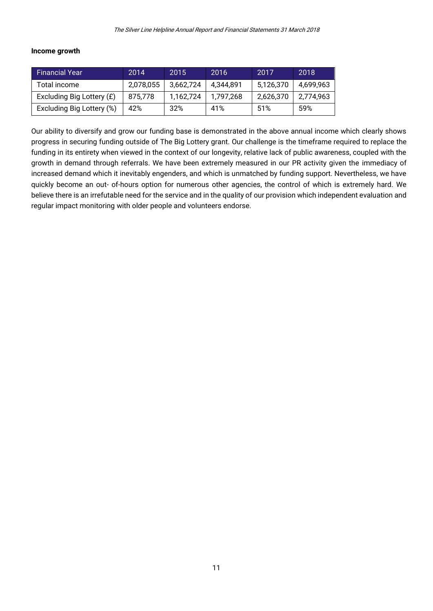#### **Income growth**

| <b>Financial Year</b>     | 2014      | 2015      | 2016      | 2017      | 2018      |
|---------------------------|-----------|-----------|-----------|-----------|-----------|
| Total income              | 2,078,055 | 3,662,724 | 4.344.891 | 5,126,370 | 4.699.963 |
| Excluding Big Lottery (£) | 875,778   | 1,162,724 | 1.797.268 | 2,626,370 | 2,774,963 |
| Excluding Big Lottery (%) | 42%       | 32%       | 41%       | 51%       | 59%       |

Our ability to diversify and grow our funding base is demonstrated in the above annual income which clearly shows progress in securing funding outside of The Big Lottery grant. Our challenge is the timeframe required to replace the funding in its entirety when viewed in the context of our longevity, relative lack of public awareness, coupled with the growth in demand through referrals. We have been extremely measured in our PR activity given the immediacy of increased demand which it inevitably engenders, and which is unmatched by funding support. Nevertheless, we have quickly become an out- of-hours option for numerous other agencies, the control of which is extremely hard. We believe there is an irrefutable need for the service and in the quality of our provision which independent evaluation and regular impact monitoring with older people and volunteers endorse.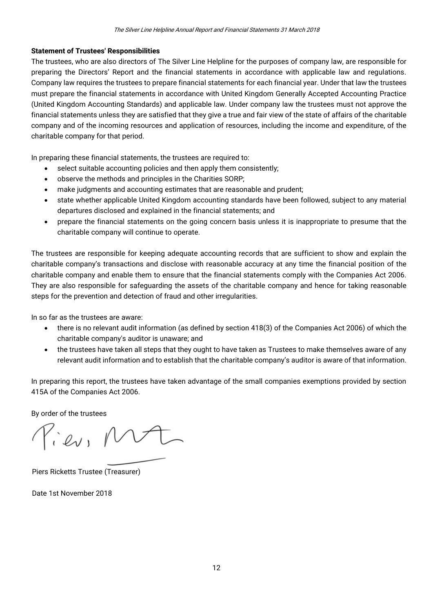#### **Statement of Trustees' Responsibilities**

The trustees, who are also directors of The Silver Line Helpline for the purposes of company law, are responsible for preparing the Directors' Report and the financial statements in accordance with applicable law and regulations. Company law requires the trustees to prepare financial statements for each financial year. Under that law the trustees must prepare the financial statements in accordance with United Kingdom Generally Accepted Accounting Practice (United Kingdom Accounting Standards) and applicable law. Under company law the trustees must not approve the financial statements unless they are satisfied that they give a true and fair view of the state of affairs of the charitable company and of the incoming resources and application of resources, including the income and expenditure, of the charitable company for that period.

In preparing these financial statements, the trustees are required to:

- select suitable accounting policies and then apply them consistently;
- observe the methods and principles in the Charities SORP;
- make judgments and accounting estimates that are reasonable and prudent;
- state whether applicable United Kingdom accounting standards have been followed, subject to any material departures disclosed and explained in the financial statements; and
- prepare the financial statements on the going concern basis unless it is inappropriate to presume that the charitable company will continue to operate.

The trustees are responsible for keeping adequate accounting records that are sufficient to show and explain the charitable company's transactions and disclose with reasonable accuracy at any time the financial position of the charitable company and enable them to ensure that the financial statements comply with the Companies Act 2006. They are also responsible for safeguarding the assets of the charitable company and hence for taking reasonable steps for the prevention and detection of fraud and other irregularities.

In so far as the trustees are aware:

- there is no relevant audit information (as defined by section 418(3) of the Companies Act 2006) of which the charitable company's auditor is unaware; and
- the trustees have taken all steps that they ought to have taken as Trustees to make themselves aware of any relevant audit information and to establish that the charitable company's auditor is aware of that information.

In preparing this report, the trustees have taken advantage of the small companies exemptions provided by section 415A of the Companies Act 2006.

By order of the trustees

View, V

Piers Ricketts Trustee (Treasurer)

Date 1st November 2018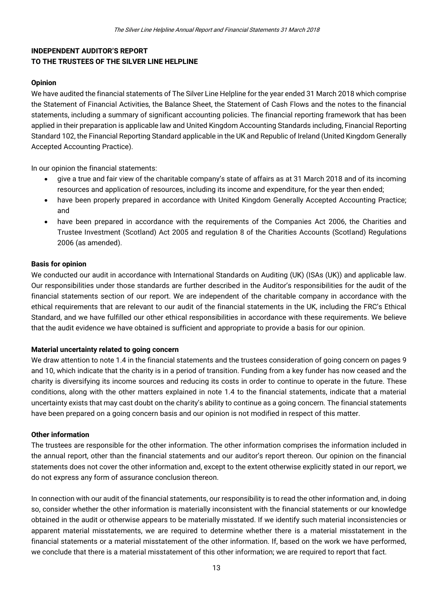#### **INDEPENDENT AUDITOR'S REPORT TO THE TRUSTEES OF THE SILVER LINE HELPLINE**

#### **Opinion**

We have audited the financial statements of The Silver Line Helpline for the year ended 31 March 2018 which comprise the Statement of Financial Activities, the Balance Sheet, the Statement of Cash Flows and the notes to the financial statements, including a summary of significant accounting policies. The financial reporting framework that has been applied in their preparation is applicable law and United Kingdom Accounting Standards including, Financial Reporting Standard 102, the Financial Reporting Standard applicable in the UK and Republic of Ireland (United Kingdom Generally Accepted Accounting Practice).

In our opinion the financial statements:

- give a true and fair view of the charitable company's state of affairs as at 31 March 2018 and of its incoming resources and application of resources, including its income and expenditure, for the year then ended;
- have been properly prepared in accordance with United Kingdom Generally Accepted Accounting Practice; and
- have been prepared in accordance with the requirements of the Companies Act 2006, the Charities and Trustee Investment (Scotland) Act 2005 and regulation 8 of the Charities Accounts (Scotland) Regulations 2006 (as amended).

#### **Basis for opinion**

We conducted our audit in accordance with International Standards on Auditing (UK) (ISAs (UK)) and applicable law. Our responsibilities under those standards are further described in the Auditor's responsibilities for the audit of the financial statements section of our report. We are independent of the charitable company in accordance with the ethical requirements that are relevant to our audit of the financial statements in the UK, including the FRC's Ethical Standard, and we have fulfilled our other ethical responsibilities in accordance with these requirements. We believe that the audit evidence we have obtained is sufficient and appropriate to provide a basis for our opinion.

#### **Material uncertainty related to going concern**

We draw attention to note 1.4 in the financial statements and the trustees consideration of going concern on pages 9 and 10, which indicate that the charity is in a period of transition. Funding from a key funder has now ceased and the charity is diversifying its income sources and reducing its costs in order to continue to operate in the future. These conditions, along with the other matters explained in note 1.4 to the financial statements, indicate that a material uncertainty exists that may cast doubt on the charity's ability to continue as a going concern. The financial statements have been prepared on a going concern basis and our opinion is not modified in respect of this matter.

#### **Other information**

The trustees are responsible for the other information. The other information comprises the information included in the annual report, other than the financial statements and our auditor's report thereon. Our opinion on the financial statements does not cover the other information and, except to the extent otherwise explicitly stated in our report, we do not express any form of assurance conclusion thereon.

In connection with our audit of the financial statements, our responsibility is to read the other information and, in doing so, consider whether the other information is materially inconsistent with the financial statements or our knowledge obtained in the audit or otherwise appears to be materially misstated. If we identify such material inconsistencies or apparent material misstatements, we are required to determine whether there is a material misstatement in the financial statements or a material misstatement of the other information. If, based on the work we have performed, we conclude that there is a material misstatement of this other information; we are required to report that fact.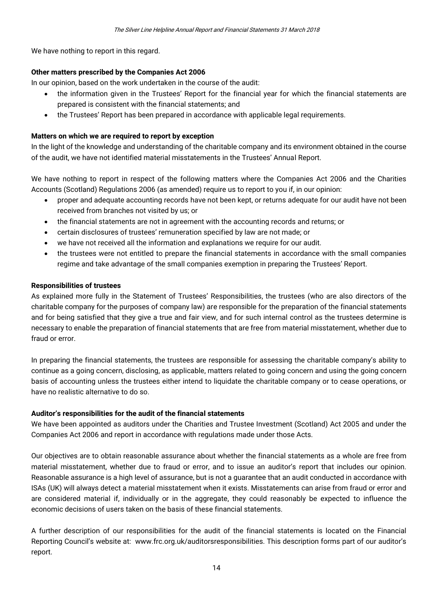We have nothing to report in this regard.

#### **Other matters prescribed by the Companies Act 2006**

In our opinion, based on the work undertaken in the course of the audit:

- the information given in the Trustees' Report for the financial year for which the financial statements are prepared is consistent with the financial statements; and
- the Trustees' Report has been prepared in accordance with applicable legal requirements.

#### **Matters on which we are required to report by exception**

In the light of the knowledge and understanding of the charitable company and its environment obtained in the course of the audit, we have not identified material misstatements in the Trustees' Annual Report.

We have nothing to report in respect of the following matters where the Companies Act 2006 and the Charities Accounts (Scotland) Regulations 2006 (as amended) require us to report to you if, in our opinion:

- proper and adequate accounting records have not been kept, or returns adequate for our audit have not been received from branches not visited by us; or
- the financial statements are not in agreement with the accounting records and returns; or
- certain disclosures of trustees' remuneration specified by law are not made; or
- we have not received all the information and explanations we require for our audit.
- the trustees were not entitled to prepare the financial statements in accordance with the small companies regime and take advantage of the small companies exemption in preparing the Trustees' Report.

#### **Responsibilities of trustees**

As explained more fully in the Statement of Trustees' Responsibilities, the trustees (who are also directors of the charitable company for the purposes of company law) are responsible for the preparation of the financial statements and for being satisfied that they give a true and fair view, and for such internal control as the trustees determine is necessary to enable the preparation of financial statements that are free from material misstatement, whether due to fraud or error.

In preparing the financial statements, the trustees are responsible for assessing the charitable company's ability to continue as a going concern, disclosing, as applicable, matters related to going concern and using the going concern basis of accounting unless the trustees either intend to liquidate the charitable company or to cease operations, or have no realistic alternative to do so.

#### **Auditor's responsibilities for the audit of the financial statements**

We have been appointed as auditors under the Charities and Trustee Investment (Scotland) Act 2005 and under the Companies Act 2006 and report in accordance with regulations made under those Acts.

Our objectives are to obtain reasonable assurance about whether the financial statements as a whole are free from material misstatement, whether due to fraud or error, and to issue an auditor's report that includes our opinion. Reasonable assurance is a high level of assurance, but is not a guarantee that an audit conducted in accordance with ISAs (UK) will always detect a material misstatement when it exists. Misstatements can arise from fraud or error and are considered material if, individually or in the aggregate, they could reasonably be expected to influence the economic decisions of users taken on the basis of these financial statements.

A further description of our responsibilities for the audit of the financial statements is located on the Financial Reporting Council's website at: www.frc.org.uk/auditorsresponsibilities. This description forms part of our auditor's report.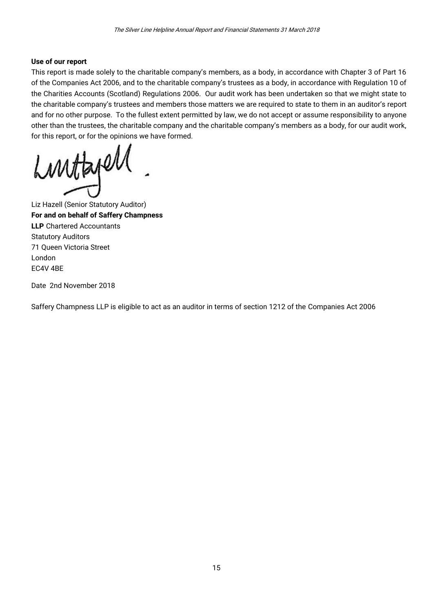#### **Use of our report**

This report is made solely to the charitable company's members, as a body, in accordance with Chapter 3 of Part 16 of the Companies Act 2006, and to the charitable company's trustees as a body, in accordance with Regulation 10 of the Charities Accounts (Scotland) Regulations 2006. Our audit work has been undertaken so that we might state to the charitable company's trustees and members those matters we are required to state to them in an auditor's report and for no other purpose. To the fullest extent permitted by law, we do not accept or assume responsibility to anyone other than the trustees, the charitable company and the charitable company's members as a body, for our audit work, for this report, or for the opinions we have formed.

Luntapell

Liz Hazell (Senior Statutory Auditor) **For and on behalf of Saffery Champness LLP** Chartered Accountants Statutory Auditors 71 Queen Victoria Street London EC4V 4BE

Date 2nd November 2018

Saffery Champness LLP is eligible to act as an auditor in terms of section 1212 of the Companies Act 2006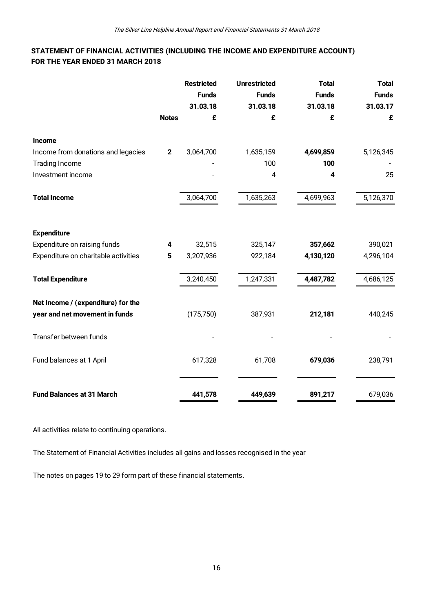#### **STATEMENT OF FINANCIAL ACTIVITIES (INCLUDING THE INCOME AND EXPENDITURE ACCOUNT) FOR THE YEAR ENDED 31 MARCH 2018**

|              | <b>Restricted</b> | <b>Unrestricted</b> | <b>Total</b> | <b>Total</b> |
|--------------|-------------------|---------------------|--------------|--------------|
|              | <b>Funds</b>      | <b>Funds</b>        | <b>Funds</b> | <b>Funds</b> |
|              | 31.03.18          | 31.03.18            | 31.03.18     | 31.03.17     |
| <b>Notes</b> | £                 | £                   | £            | £            |
|              |                   |                     |              |              |
| $\mathbf 2$  | 3,064,700         | 1,635,159           | 4,699,859    | 5,126,345    |
|              |                   | 100                 | 100          |              |
|              |                   | 4                   | 4            | 25           |
|              | 3,064,700         | 1,635,263           | 4,699,963    | 5,126,370    |
|              |                   |                     |              |              |
| 4            | 32,515            | 325,147             | 357,662      | 390,021      |
| 5            | 3,207,936         | 922,184             | 4,130,120    | 4,296,104    |
|              | 3,240,450         | 1,247,331           | 4,487,782    | 4,686,125    |
|              |                   |                     |              |              |
|              | (175, 750)        | 387,931             | 212,181      | 440,245      |
|              |                   |                     |              |              |
|              | 617,328           | 61,708              | 679,036      | 238,791      |
|              | 441,578           |                     | 891,217      | 679,036      |
|              |                   |                     | 449,639      |              |

All activities relate to continuing operations.

The Statement of Financial Activities includes all gains and losses recognised in the year

The notes on pages 19 to 29 form part of these financial statements.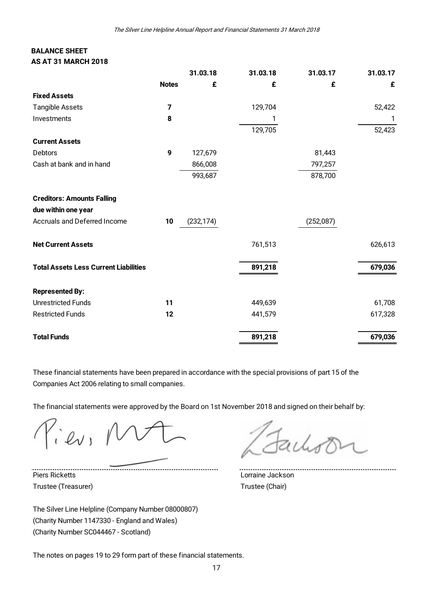#### **BALANCE SHEET AS AT 31 MARCH 2018**

| <b>BALANCE SHEET</b><br><b>AS AT 31 MARCH 2018</b> |              |            |          |           |          |
|----------------------------------------------------|--------------|------------|----------|-----------|----------|
|                                                    |              | 31.03.18   | 31.03.18 | 31.03.17  | 31.03.17 |
|                                                    | <b>Notes</b> | £          | £        | £         | £        |
| <b>Fixed Assets</b>                                |              |            |          |           |          |
| <b>Tangible Assets</b>                             | 7            |            | 129,704  |           | 52,422   |
| Investments                                        | 8            |            | 1        |           | 1        |
|                                                    |              |            | 129,705  |           | 52,423   |
| <b>Current Assets</b>                              |              |            |          |           |          |
| Debtors                                            | 9            | 127,679    |          | 81,443    |          |
| Cash at bank and in hand                           |              | 866,008    |          | 797,257   |          |
|                                                    |              | 993,687    |          | 878,700   |          |
| <b>Creditors: Amounts Falling</b>                  |              |            |          |           |          |
| due within one year                                |              |            |          |           |          |
| <b>Accruals and Deferred Income</b>                | 10           | (232, 174) |          | (252,087) |          |
| <b>Net Current Assets</b>                          |              |            | 761,513  |           | 626,613  |
| <b>Total Assets Less Current Liabilities</b>       |              |            | 891,218  |           | 679,036  |
| <b>Represented By:</b>                             |              |            |          |           |          |
| <b>Unrestricted Funds</b>                          | 11           |            | 449,639  |           | 61,708   |
| <b>Restricted Funds</b>                            | 12           |            | 441,579  |           | 617,328  |
| <b>Total Funds</b>                                 |              |            | 891,218  |           | 679,036  |

These financial statements have been prepared in accordance with the special provisions of part 15 of the Companies Act 2006 relating to small companies.

The financial statements were approved by the Board on 1st November 2018 and signed on their behalf by:

 $ev$ 

Piers Ricketts Lorraine Jackson Trustee (Treasurer) Trustee (Chair)

The Silver Line Helpline (Company Number 08000807) (Charity Number 1147330 - England and Wales) (Charity Number SC044467 - Scotland)

The notes on pages 19 to 29 form part of these financial statements.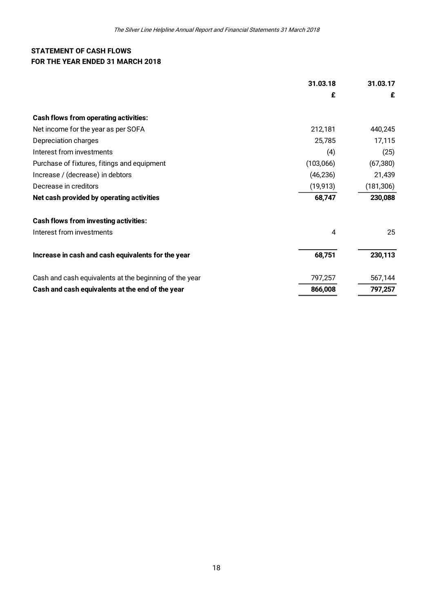#### **STATEMENT OF CASH FLOWS FOR THE YEAR ENDED 31 MARCH 2018**

| STATEMENT OF CASH FLOWS<br>FOR THE YEAR ENDED 31 MARCH 2018 |           |            |
|-------------------------------------------------------------|-----------|------------|
|                                                             | 31.03.18  | 31.03.17   |
|                                                             | £         | £          |
| <b>Cash flows from operating activities:</b>                |           |            |
| Net income for the year as per SOFA                         | 212,181   | 440,245    |
| Depreciation charges                                        | 25,785    | 17,115     |
| Interest from investments                                   | (4)       | (25)       |
| Purchase of fixtures, fitings and equipment                 | (103,066) | (67, 380)  |
| Increase / (decrease) in debtors                            | (46, 236) | 21,439     |
| Decrease in creditors                                       | (19, 913) | (181, 306) |
| Net cash provided by operating activities                   | 68,747    | 230,088    |
| <b>Cash flows from investing activities:</b>                |           |            |
| Interest from investments                                   | 4         | 25         |
| Increase in cash and cash equivalents for the year          | 68,751    | 230,113    |
| Cash and cash equivalents at the beginning of the year      | 797,257   | 567,144    |
| Cash and cash equivalents at the end of the year            | 866,008   | 797,257    |
|                                                             |           |            |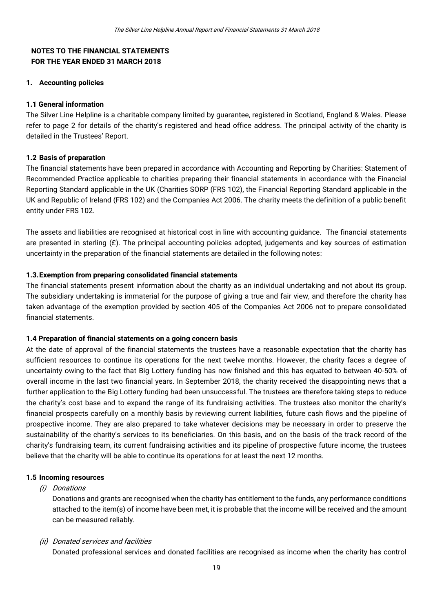#### **NOTES TO THE FINANCIAL STATEMENTS FOR THE YEAR ENDED 31 MARCH 2018**

#### **1. Accounting policies**

#### **1.1 General information**

The Silver Line Helpline is a charitable company limited by guarantee, registered in Scotland, England & Wales. Please refer to page 2 for details of the charity's registered and head office address. The principal activity of the charity is detailed in the Trustees' Report.

#### **1.2 Basis of preparation**

The financial statements have been prepared in accordance with Accounting and Reporting by Charities: Statement of Recommended Practice applicable to charities preparing their financial statements in accordance with the Financial Reporting Standard applicable in the UK (Charities SORP (FRS 102), the Financial Reporting Standard applicable in the UK and Republic of Ireland (FRS 102) and the Companies Act 2006. The charity meets the definition of a public benefit entity under FRS 102.

The assets and liabilities are recognised at historical cost in line with accounting guidance. The financial statements are presented in sterling  $(E)$ . The principal accounting policies adopted, judgements and key sources of estimation uncertainty in the preparation of the financial statements are detailed in the following notes:

#### **1.3.Exemption from preparing consolidated financial statements**

The financial statements present information about the charity as an individual undertaking and not about its group. The subsidiary undertaking is immaterial for the purpose of giving a true and fair view, and therefore the charity has taken advantage of the exemption provided by section 405 of the Companies Act 2006 not to prepare consolidated financial statements.

#### **1.4 Preparation of financial statements on a going concern basis**

At the date of approval of the financial statements the trustees have a reasonable expectation that the charity has sufficient resources to continue its operations for the next twelve months. However, the charity faces a degree of uncertainty owing to the fact that Big Lottery funding has now finished and this has equated to between 40-50% of overall income in the last two financial years. In September 2018, the charity received the disappointing news that a further application to the Big Lottery funding had been unsuccessful. The trustees are therefore taking steps to reduce the charity's cost base and to expand the range of its fundraising activities. The trustees also monitor the charity's financial prospects carefully on a monthly basis by reviewing current liabilities, future cash flows and the pipeline of prospective income. They are also prepared to take whatever decisions may be necessary in order to preserve the sustainability of the charity's services to its beneficiaries. On this basis, and on the basis of the track record of the charity's fundraising team, its current fundraising activities and its pipeline of prospective future income, the trustees believe that the charity will be able to continue its operations for at least the next 12 months.

#### **1.5 Incoming resources**

#### (i) Donations

Donations and grants are recognised when the charity has entitlement to the funds, any performance conditions attached to the item(s) of income have been met, it is probable that the income will be received and the amount can be measured reliably.

#### (ii) Donated services and facilities

Donated professional services and donated facilities are recognised as income when the charity has control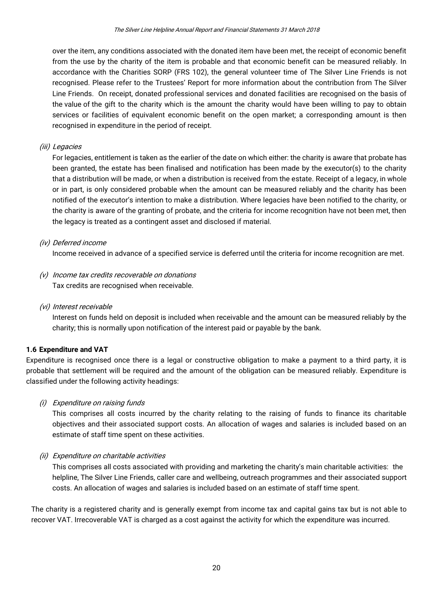over the item, any conditions associated with the donated item have been met, the receipt of economic benefit from the use by the charity of the item is probable and that economic benefit can be measured reliably. In accordance with the Charities SORP (FRS 102), the general volunteer time of The Silver Line Friends is not recognised. Please refer to the Trustees' Report for more information about the contribution from The Silver Line Friends. On receipt, donated professional services and donated facilities are recognised on the basis of the value of the gift to the charity which is the amount the charity would have been willing to pay to obtain services or facilities of equivalent economic benefit on the open market; a corresponding amount is then recognised in expenditure in the period of receipt.

#### (iii) Legacies

For legacies, entitlement is taken as the earlier of the date on which either: the charity is aware that probate has been granted, the estate has been finalised and notification has been made by the executor(s) to the charity that a distribution will be made, or when a distribution is received from the estate. Receipt of a legacy, in whole or in part, is only considered probable when the amount can be measured reliably and the charity has been notified of the executor's intention to make a distribution. Where legacies have been notified to the charity, or the charity is aware of the granting of probate, and the criteria for income recognition have not been met, then the legacy is treated as a contingent asset and disclosed if material.

#### (iv) Deferred income

Income received in advance of a specified service is deferred until the criteria for income recognition are met.

- (v) Income tax credits recoverable on donations Tax credits are recognised when receivable.
- (vi) Interest receivable

Interest on funds held on deposit is included when receivable and the amount can be measured reliably by the charity; this is normally upon notification of the interest paid or payable by the bank.

#### **1.6 Expenditure and VAT**

Expenditure is recognised once there is a legal or constructive obligation to make a payment to a third party, it is probable that settlement will be required and the amount of the obligation can be measured reliably. Expenditure is classified under the following activity headings:

#### (i) Expenditure on raising funds

This comprises all costs incurred by the charity relating to the raising of funds to finance its charitable objectives and their associated support costs. An allocation of wages and salaries is included based on an estimate of staff time spent on these activities.

#### (ii) Expenditure on charitable activities

This comprises all costs associated with providing and marketing the charity's main charitable activities: the helpline, The Silver Line Friends, caller care and wellbeing, outreach programmes and their associated support costs. An allocation of wages and salaries is included based on an estimate of staff time spent.

The charity is a registered charity and is generally exempt from income tax and capital gains tax but is not able to recover VAT. Irrecoverable VAT is charged as a cost against the activity for which the expenditure was incurred.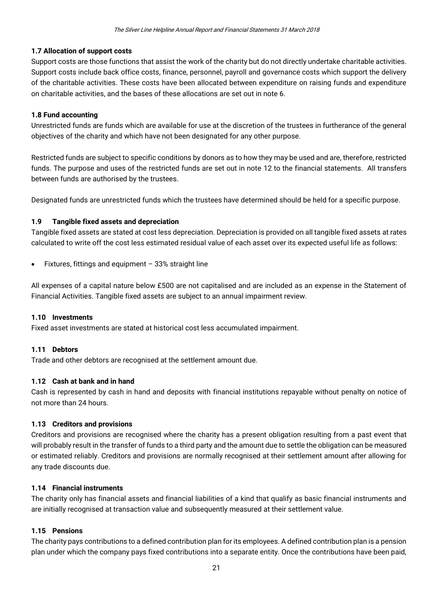#### **1.7 Allocation of support costs**

Support costs are those functions that assist the work of the charity but do not directly undertake charitable activities. Support costs include back office costs, finance, personnel, payroll and governance costs which support the delivery of the charitable activities. These costs have been allocated between expenditure on raising funds and expenditure on charitable activities, and the bases of these allocations are set out in note 6.

#### **1.8 Fund accounting**

Unrestricted funds are funds which are available for use at the discretion of the trustees in furtherance of the general objectives of the charity and which have not been designated for any other purpose.

Restricted funds are subject to specific conditions by donors as to how they may be used and are, therefore, restricted funds. The purpose and uses of the restricted funds are set out in note 12 to the financial statements. All transfers between funds are authorised by the trustees.

Designated funds are unrestricted funds which the trustees have determined should be held for a specific purpose.

#### **1.9 Tangible fixed assets and depreciation**

Tangible fixed assets are stated at cost less depreciation. Depreciation is provided on all tangible fixed assets at rates calculated to write off the cost less estimated residual value of each asset over its expected useful life as follows:

Fixtures, fittings and equipment  $-33%$  straight line

All expenses of a capital nature below £500 are not capitalised and are included as an expense in the Statement of Financial Activities. Tangible fixed assets are subject to an annual impairment review.

#### **1.10 Investments**

Fixed asset investments are stated at historical cost less accumulated impairment.

#### **1.11 Debtors**

Trade and other debtors are recognised at the settlement amount due.

#### **1.12 Cash at bank and in hand**

Cash is represented by cash in hand and deposits with financial institutions repayable without penalty on notice of not more than 24 hours.

#### **1.13 Creditors and provisions**

Creditors and provisions are recognised where the charity has a present obligation resulting from a past event that will probably result in the transfer of funds to a third party and the amount due to settle the obligation can be measured or estimated reliably. Creditors and provisions are normally recognised at their settlement amount after allowing for any trade discounts due.

#### **1.14 Financial instruments**

The charity only has financial assets and financial liabilities of a kind that qualify as basic financial instruments and are initially recognised at transaction value and subsequently measured at their settlement value.

#### **1.15 Pensions**

The charity pays contributions to a defined contribution plan for its employees. A defined contribution plan is a pension plan under which the company pays fixed contributions into a separate entity. Once the contributions have been paid,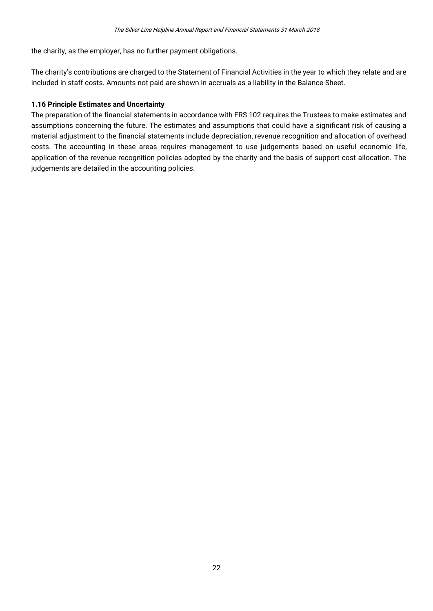the charity, as the employer, has no further payment obligations.

The charity's contributions are charged to the Statement of Financial Activities in the year to which they relate and are included in staff costs. Amounts not paid are shown in accruals as a liability in the Balance Sheet.

#### **1.16 Principle Estimates and Uncertainty**

The preparation of the financial statements in accordance with FRS 102 requires the Trustees to make estimates and assumptions concerning the future. The estimates and assumptions that could have a significant risk of causing a material adjustment to the financial statements include depreciation, revenue recognition and allocation of overhead costs. The accounting in these areas requires management to use judgements based on useful economic life, application of the revenue recognition policies adopted by the charity and the basis of support cost allocation. The judgements are detailed in the accounting policies.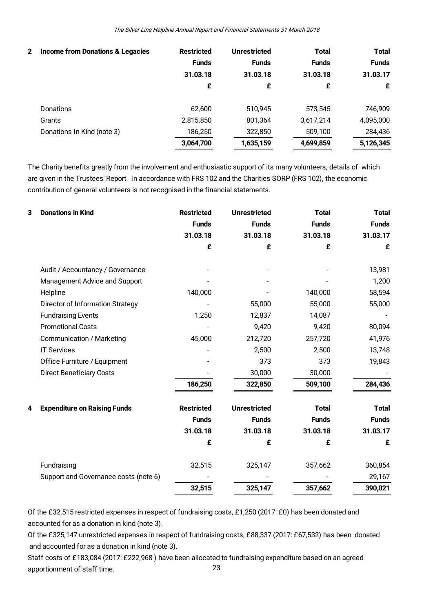| $\mathbf{2}$ | Income from Donations & Legacies | <b>Restricted</b><br><b>Funds</b><br>31.03.18<br>£ | <b>Unrestricted</b><br><b>Funds</b><br>31.03.18<br>£ | <b>Total</b><br><b>Funds</b><br>31.03.18<br>£ | <b>Total</b><br><b>Funds</b><br>31.03.17<br>£ |
|--------------|----------------------------------|----------------------------------------------------|------------------------------------------------------|-----------------------------------------------|-----------------------------------------------|
|              | <b>Donations</b>                 | 62,600                                             | 510.945                                              | 573,545                                       | 746,909                                       |
|              | Grants                           | 2,815,850                                          | 801,364                                              | 3,617,214                                     | 4,095,000                                     |
|              | Donations In Kind (note 3)       | 186,250                                            | 322,850                                              | 509,100                                       | 284,436                                       |
|              |                                  | 3,064,700                                          | 1,635,159                                            | 4,699,859                                     | 5,126,345                                     |

The Charity benefits greatly from the involvement and enthusiastic support of its many volunteers, details of which are given in the Trustees' Report. In accordance with FRS 102 and the Charities SORP (FRS 102), the economic contribution of general volunteers is not recognised in the financial statements.

| 3 | <b>Donations in Kind</b>                | <b>Restricted</b> | <b>Unrestricted</b> | <b>Total</b> | <b>Total</b> |
|---|-----------------------------------------|-------------------|---------------------|--------------|--------------|
|   |                                         | <b>Funds</b>      | <b>Funds</b>        | <b>Funds</b> | <b>Funds</b> |
|   |                                         | 31.03.18          | 31.03.18            | 31.03.18     | 31.03.17     |
|   |                                         | £                 | £                   | £            | £            |
|   | Audit / Accountancy / Governance        |                   |                     |              | 13,981       |
|   | Management Advice and Support           |                   |                     |              | 1,200        |
|   | Helpline                                | 140,000           |                     | 140,000      | 58,594       |
|   | <b>Director of Information Strategy</b> |                   | 55,000              | 55,000       | 55,000       |
|   | <b>Fundraising Events</b>               | 1,250             | 12,837              | 14,087       |              |
|   | <b>Promotional Costs</b>                |                   | 9,420               | 9,420        | 80,094       |
|   | <b>Communication / Marketing</b>        | 45,000            | 212,720             | 257,720      | 41,976       |
|   | <b>IT Services</b>                      |                   | 2,500               | 2,500        | 13,748       |
|   | Office Furniture / Equipment            |                   | 373                 | 373          | 19,843       |
|   | <b>Direct Beneficiary Costs</b>         |                   | 30,000              | 30,000       |              |
|   |                                         | 186,250           | 322,850             | 509,100      | 284,436      |
| 4 | <b>Expenditure on Raising Funds</b>     | <b>Restricted</b> | <b>Unrestricted</b> | <b>Total</b> | <b>Total</b> |
|   |                                         | <b>Funds</b>      | <b>Funds</b>        | <b>Funds</b> | <b>Funds</b> |
|   |                                         | 31.03.18          | 31.03.18            | 31.03.18     | 31.03.17     |
|   |                                         | £                 | £                   | £            | £            |
|   | Fundraising                             | 32,515            | 325,147             | 357,662      | 360,854      |
|   | Support and Governance costs (note 6)   |                   |                     |              | 29,167       |
|   |                                         | 32,515            | 325,147             | 357,662      | 390,021      |
|   |                                         |                   |                     |              |              |

Of the £32,515 restricted expenses in respect of fundraising costs, £1,250 (2017: £0) has been donated and accounted for as a donation in kind (note 3).

Of the £325,147 unrestricted expenses in respect of fundraising costs, £88,337 (2017: £67,532) has been donated and accounted for as a donation in kind (note 3).

23 Staff costs of £183,084 (2017: £222,968 ) have been allocated to fundraising expenditure based on an agreed apportionment of staff time.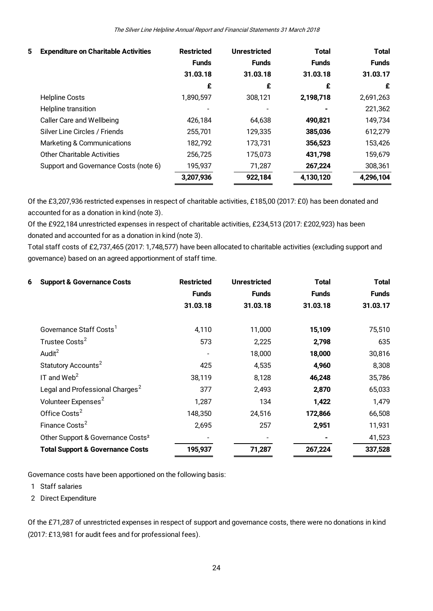| 5 | <b>Expenditure on Charitable Activities</b> | <b>Restricted</b> | <b>Unrestricted</b> | <b>Total</b> | <b>Total</b> |
|---|---------------------------------------------|-------------------|---------------------|--------------|--------------|
|   |                                             | <b>Funds</b>      | <b>Funds</b>        | <b>Funds</b> | <b>Funds</b> |
|   |                                             | 31.03.18          | 31.03.18            | 31.03.18     | 31.03.17     |
|   |                                             | £                 | £                   | £            | £            |
|   | <b>Helpline Costs</b>                       | 1,890,597         | 308,121             | 2,198,718    | 2,691,263    |
|   | Helpline transition                         |                   |                     |              | 221,362      |
|   | Caller Care and Wellbeing                   | 426,184           | 64,638              | 490,821      | 149,734      |
|   | Silver Line Circles / Friends               | 255,701           | 129,335             | 385,036      | 612,279      |
|   | Marketing & Communications                  | 182,792           | 173,731             | 356,523      | 153,426      |
|   | <b>Other Charitable Activities</b>          | 256,725           | 175,073             | 431,798      | 159,679      |
|   | Support and Governance Costs (note 6)       | 195,937           | 71,287              | 267,224      | 308,361      |
|   |                                             | 3,207,936         | 922,184             | 4,130,120    | 4,296,104    |
|   |                                             |                   |                     |              |              |

Of the £3,207,936 restricted expenses in respect of charitable activities, £185,00 (2017: £0) has been donated and accounted for as a donation in kind (note 3).

Of the £922,184 unrestricted expenses in respect of charitable activities, £234,513 (2017: £202,923) has been donated and accounted for as a donation in kind (note 3).

Total staff costs of £2,737,465 (2017: 1,748,577) have been allocated to charitable activities (excluding support and governance) based on an agreed apportionment of staff time.

| 6<br><b>Support &amp; Governance Costs</b>    | <b>Restricted</b> | <b>Unrestricted</b> | <b>Total</b> | <b>Total</b> |
|-----------------------------------------------|-------------------|---------------------|--------------|--------------|
|                                               | <b>Funds</b>      | <b>Funds</b>        | <b>Funds</b> | <b>Funds</b> |
|                                               | 31.03.18          | 31.03.18            | 31.03.18     | 31.03.17     |
| Governance Staff Costs <sup>1</sup>           | 4,110             | 11,000              | 15,109       | 75,510       |
| Trustee Costs <sup>2</sup>                    | 573               | 2,225               | 2,798        | 635          |
| Audit <sup>2</sup>                            |                   | 18,000              | 18,000       | 30,816       |
| Statutory Accounts <sup>2</sup>               | 425               | 4,535               | 4,960        | 8,308        |
| IT and $Web2$                                 | 38,119            | 8,128               | 46,248       | 35,786       |
| Legal and Professional Charges <sup>2</sup>   | 377               | 2,493               | 2,870        | 65,033       |
| Volunteer Expenses <sup>2</sup>               | 1,287             | 134                 | 1,422        | 1,479        |
| Office Costs <sup>2</sup>                     | 148,350           | 24,516              | 172,866      | 66,508       |
| Finance Costs <sup>2</sup>                    | 2,695             | 257                 | 2,951        | 11,931       |
| Other Support & Governance Costs <sup>2</sup> |                   |                     |              | 41,523       |
| <b>Total Support &amp; Governance Costs</b>   | 195,937           | 71,287              | 267,224      | 337,528      |

Governance costs have been apportioned on the following basis: )<br>1 Staff salaries<br>2 Direct Expenc Sovernance costs hav<br>1 Staff salaries<br>2 Direct Expenditure

Of the £71,287 of unrestricted expenses in respect of support and governance costs, there were no donations in kind (2017: £13,981 for audit fees and for professional fees).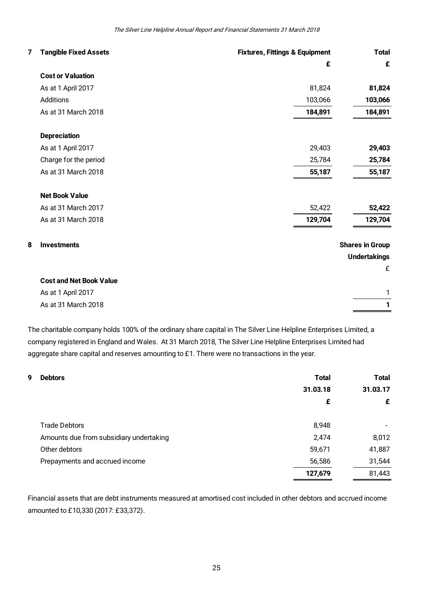|   | The Silver Line Helpline Annual Report and Financial Statements 31 March 2018 |                                           |                        |  |  |
|---|-------------------------------------------------------------------------------|-------------------------------------------|------------------------|--|--|
| 7 | <b>Tangible Fixed Assets</b>                                                  | <b>Fixtures, Fittings &amp; Equipment</b> | <b>Total</b>           |  |  |
|   |                                                                               | £                                         | £                      |  |  |
|   | <b>Cost or Valuation</b>                                                      |                                           |                        |  |  |
|   | As at 1 April 2017                                                            | 81,824                                    | 81,824                 |  |  |
|   | Additions                                                                     | 103,066                                   | 103,066                |  |  |
|   | As at 31 March 2018                                                           | 184,891                                   | 184,891                |  |  |
|   | <b>Depreciation</b>                                                           |                                           |                        |  |  |
|   | As at 1 April 2017                                                            | 29,403                                    | 29,403                 |  |  |
|   | Charge for the period                                                         | 25,784                                    | 25,784                 |  |  |
|   | As at 31 March 2018                                                           | 55,187                                    | 55,187                 |  |  |
|   | <b>Net Book Value</b>                                                         |                                           |                        |  |  |
|   | As at 31 March 2017                                                           | 52,422                                    | 52,422                 |  |  |
|   | As at 31 March 2018                                                           | 129,704                                   | 129,704                |  |  |
| 8 | <b>Investments</b>                                                            |                                           | <b>Shares in Group</b> |  |  |
|   |                                                                               |                                           | <b>Undertakings</b>    |  |  |
|   |                                                                               |                                           | £                      |  |  |
|   | <b>Cost and Net Book Value</b>                                                |                                           |                        |  |  |
|   | As at 1 April 2017                                                            |                                           | $\mathbf{1}$           |  |  |
|   | As at 31 March 2018                                                           |                                           | 1                      |  |  |

The charitable company holds 100% of the ordinary share capital in The Silver Line Helpline Enterprises Limited, a company registered in England and Wales. At 31 March 2018, The Silver Line Helpline Enterprises Limited had aggregate share capital and reserves amounting to £1. There were no transactions in the year.

| aggregate share capital and reserves amounting to $£1$ . There were no transactions in the year. |              |              |
|--------------------------------------------------------------------------------------------------|--------------|--------------|
| 9<br><b>Debtors</b>                                                                              | <b>Total</b> | <b>Total</b> |
|                                                                                                  | 31.03.18     | 31.03.17     |
|                                                                                                  | £            | £            |
| <b>Trade Debtors</b>                                                                             | 8,948        |              |
| Amounts due from subsidiary undertaking                                                          | 2,474        | 8,012        |
| Other debtors                                                                                    | 59,671       | 41,887       |
| Prepayments and accrued income                                                                   | 56,586       | 31,544       |
|                                                                                                  | 127,679      | 81,443       |
|                                                                                                  |              |              |

Financial assets that are debt instruments measured at amortised cost included in other debtors and accrued income amounted to £10,330 (2017: £33,372).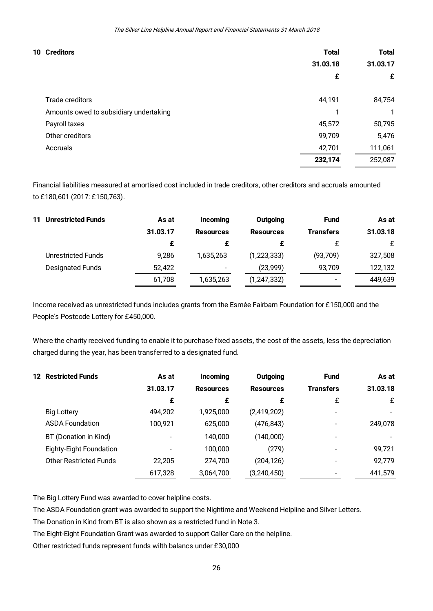| 10 Creditors                           | Total    | Total    |
|----------------------------------------|----------|----------|
|                                        | 31.03.18 | 31.03.17 |
|                                        | £        | £        |
| Trade creditors                        | 44,191   | 84,754   |
| Amounts owed to subsidiary undertaking |          | 1        |
| Payroll taxes                          | 45,572   | 50,795   |
| Other creditors                        | 99,709   | 5,476    |
| Accruals                               | 42,701   | 111,061  |
|                                        | 232,174  | 252,087  |

Financial liabilities measured at amortised cost included in trade creditors, other creditors and accruals amounted to £180,601 (2017: £150,763).

| <b>11 Unrestricted Funds</b> | As at    | Incoming                 | Outgoing         | <b>Fund</b>              | As at    |
|------------------------------|----------|--------------------------|------------------|--------------------------|----------|
|                              | 31.03.17 | <b>Resources</b>         | <b>Resources</b> | <b>Transfers</b>         | 31.03.18 |
|                              | £        |                          |                  |                          | £        |
| <b>Unrestricted Funds</b>    | 9,286    | 1,635,263                | (1, 223, 333)    | (93, 709)                | 327,508  |
| <b>Designated Funds</b>      | 52,422   | $\overline{\phantom{a}}$ | (23,999)         | 93,709                   | 122,132  |
|                              | 61,708   | 1.635.263                | (1, 247, 332)    | $\overline{\phantom{0}}$ | 449,639  |

Income received as unrestricted funds includes grants from the Esmée Fairbarn Foundation for £150,000 and the People's Postcode Lottery for £450,000.

Where the charity received funding to enable it to purchase fixed assets, the cost of the assets, less the depreciation charged during the year, has been transferred to a designated fund.

| <b>12 Restricted Funds</b>    | As at    | Incoming         | Outgoing         | <b>Fund</b>      | As at    |
|-------------------------------|----------|------------------|------------------|------------------|----------|
|                               | 31.03.17 | <b>Resources</b> | <b>Resources</b> | <b>Transfers</b> | 31.03.18 |
|                               | £        | £                | £                | £                | £        |
| <b>Big Lottery</b>            | 494,202  | 1,925,000        | (2, 419, 202)    |                  |          |
| <b>ASDA Foundation</b>        | 100,921  | 625,000          | (476, 843)       |                  | 249,078  |
| BT (Donation in Kind)         |          | 140,000          | (140,000)        |                  |          |
| Eighty-Eight Foundation       |          | 100,000          | (279)            |                  | 99,721   |
| <b>Other Restricted Funds</b> | 22,205   | 274,700          | (204, 126)       |                  | 92,779   |
|                               | 617,328  | 3,064,700        | (3, 240, 450)    |                  | 441,579  |
|                               |          |                  |                  |                  |          |

The Big Lottery Fund was awarded to cover helpline costs.

The ASDA Foundation grant was awarded to support the Nightime and Weekend Helpline and Silver Letters.

The Donation in Kind from BT is also shown as a restricted fund in Note 3.

The Eight-Eight Foundation Grant was awarded to support Caller Care on the helpline.

Other restricted funds represent funds wilth balancs under £30,000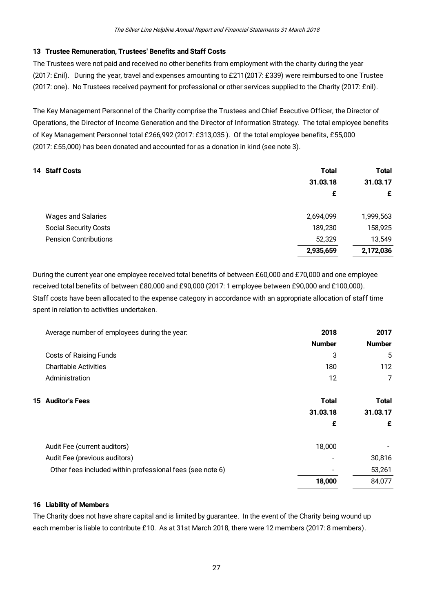#### **13 Trustee Remuneration, Trustees' Benefits and Staff Costs**

The Trustees were not paid and received no other benefits from employment with the charity during the year (2017: £nil). During the year, travel and expenses amounting to £211(2017: £339) were reimbursed to one Trustee (2017: one). No Trustees received payment for professional or other services supplied to the Charity (2017: £nil).

The Key Management Personnel of the Charity comprise the Trustees and Chief Executive Officer, the Director of Operations, the Director of Income Generation and the Director of Information Strategy. The total employee benefits of Key Management Personnel total £266,992 (2017: £313,035 ). Of the total employee benefits, £55,000 (2017: £55,000) has been donated and accounted for as a donation in kind (see note 3).

|                              | $\overline{\phantom{a}}$ |              |
|------------------------------|--------------------------|--------------|
| 14 Staff Costs               | <b>Total</b>             | <b>Total</b> |
|                              | 31.03.18                 | 31.03.17     |
|                              | £                        | £            |
| <b>Wages and Salaries</b>    | 2,694,099                | 1,999,563    |
| <b>Social Security Costs</b> | 189,230                  | 158,925      |
| <b>Pension Contributions</b> | 52,329                   | 13,549       |
|                              | 2,935,659                | 2,172,036    |

During the current year one employee received total benefits of between £60,000 and £70,000 and one employee received total benefits of between £80,000 and £90,000 (2017: 1 employee between £90,000 and £100,000). Staff costs have been allocated to the expense category in accordance with an appropriate allocation of staff time spent in relation to activities undertaken.

| 2018          | 2017          |
|---------------|---------------|
| <b>Number</b> | <b>Number</b> |
| 3             | 5             |
| 180           | 112           |
| 12            | 7             |
| <b>Total</b>  | <b>Total</b>  |
| 31.03.18      | 31.03.17      |
| £             | £             |
| 18,000        |               |
|               | 30,816        |
|               | 53,261        |
| 18,000        | 84,077        |
|               |               |

#### **16 Liability of Members**

The Charity does not have share capital and is limited by guarantee. In the event of the Charity being wound up each member is liable to contribute £10. As at 31st March 2018, there were 12 members (2017: 8 members).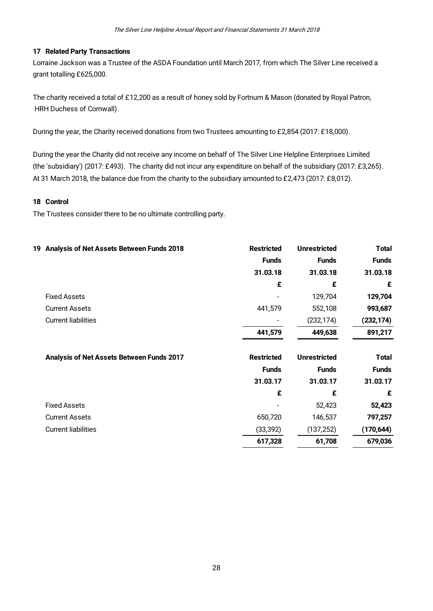#### **17 Related Party Transactions**

Lorraine Jackson was a Trustee of the ASDA Foundation until March 2017, from which The Silver Line received a grant totalling £625,000.

The charity received a total of £12,200 as a result of honey sold by Fortnum & Mason (donated by Royal Patron, HRH Duchess of Cornwall).

During the year, the Charity received donations from two Trustees amounting to £2,854 (2017: £18,000).

During the year the Charity did not receive any income on behalf of The Silver Line Helpline Enterprises Limited (the 'subsidiary') (2017: £493). The charity did not incur any expenditure on behalf of the subsidiary (2017: £3,265). At 31 March 2018, the balance due from the charity to the subsidiary amounted to £2,473 (2017: £8,012).

#### **18 Control**

The Trustees consider there to be no ultimate controlling party.

| <b>Total</b> | <b>Unrestricted</b> | <b>Restricted</b> | Analysis of Net Assets Between Funds 2018<br>19 |
|--------------|---------------------|-------------------|-------------------------------------------------|
| <b>Funds</b> | <b>Funds</b>        | <b>Funds</b>      |                                                 |
| 31.03.18     | 31.03.18            | 31.03.18          |                                                 |
| £            | £                   | £                 |                                                 |
| 129,704      | 129,704             |                   | <b>Fixed Assets</b>                             |
| 993,687      | 552,108             | 441,579           | <b>Current Assets</b>                           |
| (232, 174)   | (232, 174)          |                   | <b>Current liabilities</b>                      |
| 891,217      | 449,638             | 441,579           |                                                 |
| <b>Total</b> | <b>Unrestricted</b> | <b>Restricted</b> | Analysis of Net Assets Between Funds 2017       |
| <b>Funds</b> | <b>Funds</b>        | <b>Funds</b>      |                                                 |
| 31.03.17     | 31.03.17            | 31.03.17          |                                                 |
| £            | £                   | £                 |                                                 |
| 52,423       | 52,423              |                   | <b>Fixed Assets</b>                             |
| 797,257      | 146,537             | 650,720           | <b>Current Assets</b>                           |
| (170, 644)   | (137, 252)          | (33, 392)         | <b>Current liabilities</b>                      |
| 679,036      | 61,708              | 617,328           |                                                 |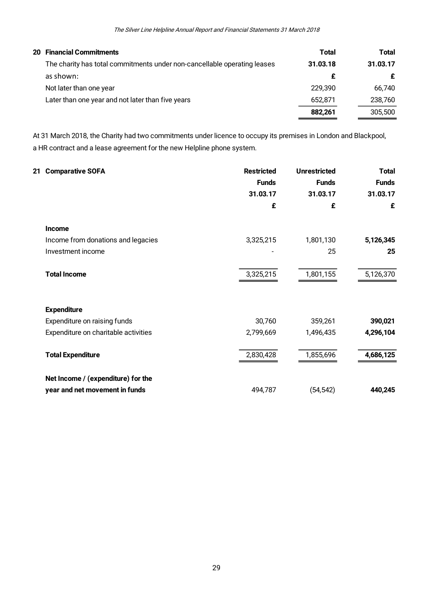| <b>20 Financial Commitments</b>                                          | <b>Total</b> | <b>Total</b> |
|--------------------------------------------------------------------------|--------------|--------------|
| The charity has total commitments under non-cancellable operating leases | 31.03.18     | 31.03.17     |
| as shown:                                                                | £            | £            |
| Not later than one year                                                  | 229.390      | 66,740       |
| Later than one year and not later than five years                        | 652.871      | 238,760      |
|                                                                          | 882.261      | 305,500      |

At 31 March 2018, the Charity had two commitments under licence to occupy its premises in London and Blackpool, a HR contract and a lease agreement for the new Helpline phone system.

| 21 Comparative SOFA                  | <b>Restricted</b>            | <b>Unrestricted</b> | <b>Total</b> |
|--------------------------------------|------------------------------|---------------------|--------------|
|                                      | <b>Funds</b>                 | <b>Funds</b>        | <b>Funds</b> |
|                                      | 31.03.17                     | 31.03.17            | 31.03.17     |
|                                      | £                            | £                   | £            |
| <b>Income</b>                        |                              |                     |              |
| Income from donations and legacies   | 3,325,215                    | 1,801,130           | 5,126,345    |
| Investment income                    | $\qquad \qquad \blacksquare$ | 25                  | 25           |
| <b>Total Income</b>                  | 3,325,215                    | 1,801,155           | 5,126,370    |
| <b>Expenditure</b>                   |                              |                     |              |
| Expenditure on raising funds         | 30,760                       | 359,261             | 390,021      |
| Expenditure on charitable activities | 2,799,669                    | 1,496,435           | 4,296,104    |
| <b>Total Expenditure</b>             | 2,830,428                    | 1,855,696           | 4,686,125    |
| Net Income / (expenditure) for the   |                              |                     |              |
| year and net movement in funds       | 494,787                      | (54, 542)           | 440,245      |
|                                      |                              |                     |              |